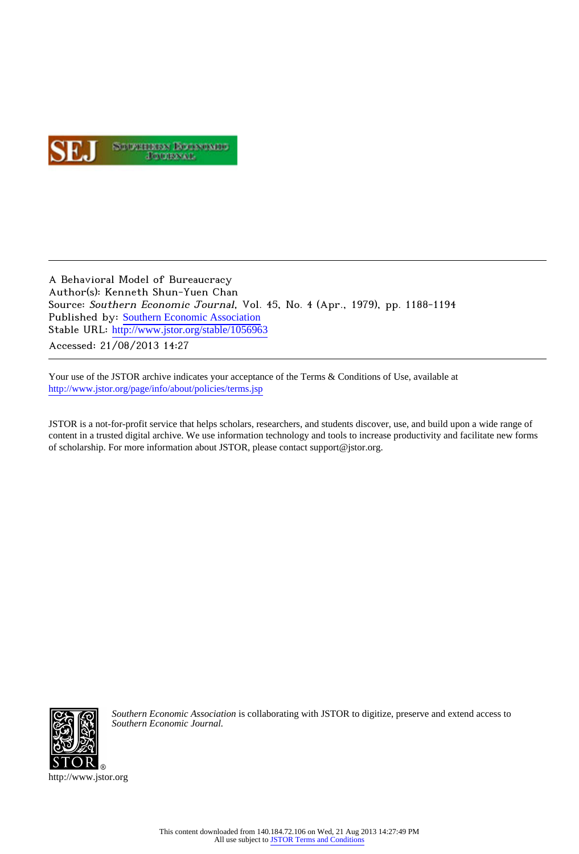

A Behavioral Model of Bureaucracy Author(s): Kenneth Shun-Yuen Chan Source: Southern Economic Journal, Vol. 45, No. 4 (Apr., 1979), pp. 1188-1194 Published by: [Southern Economic Association](http://www.jstor.org/action/showPublisher?publisherCode=sea) Stable URL: [http://www.jstor.org/stable/1056963](http://www.jstor.org/stable/1056963?origin=JSTOR-pdf)

Accessed: 21/08/2013 14:27

Your use of the JSTOR archive indicates your acceptance of the Terms & Conditions of Use, available at <http://www.jstor.org/page/info/about/policies/terms.jsp>

JSTOR is a not-for-profit service that helps scholars, researchers, and students discover, use, and build upon a wide range of content in a trusted digital archive. We use information technology and tools to increase productivity and facilitate new forms of scholarship. For more information about JSTOR, please contact support@jstor.org.



*Southern Economic Association* is collaborating with JSTOR to digitize, preserve and extend access to *Southern Economic Journal.*

http://www.jstor.org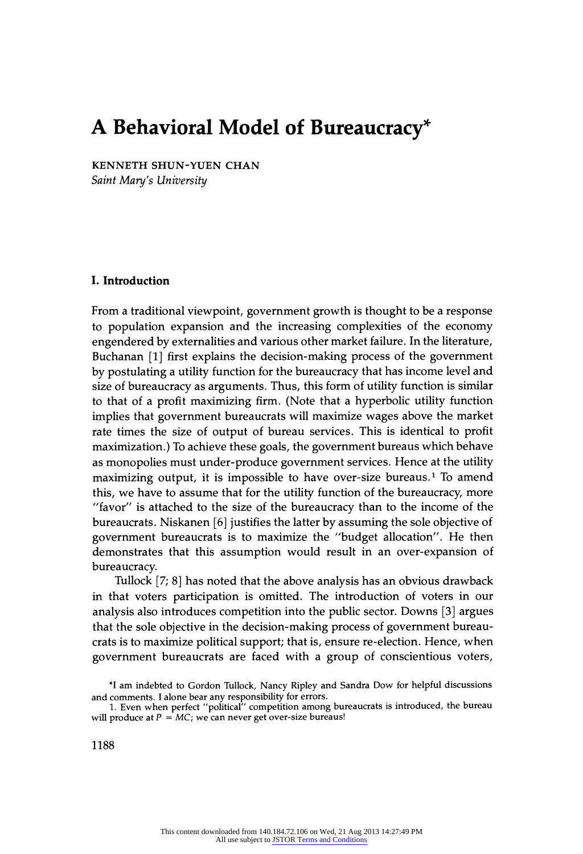# **A Behavioral Model of Bureaucracy\***

**KENNETH SHUN-YUEN CHAN Saint Mary's University** 

## **I. Introduction**

**From a traditional viewpoint, government growth is thought to be a response to population expansion and the increasing complexities of the economy engendered by externalities and various other market failure. In the literature, Buchanan [1] first explains the decision-making process of the government by postulating a utility function for the bureaucracy that has income level and size of bureaucracy as arguments. Thus, this form of utility function is similar to that of a profit maximizing firm. (Note that a hyperbolic utility function implies that government bureaucrats will maximize wages above the market rate times the size of output of bureau services. This is identical to profit maximization.) To achieve these goals, the government bureaus which behave as monopolies must under-produce government services. Hence at the utility maximizing output, it is impossible to have over-size bureaus.1 To amend this, we have to assume that for the utility function of the bureaucracy, more "favor" is attached to the size of the bureaucracy than to the income of the bureaucrats. Niskanen [6] justifies the latter by assuming the sole objective of government bureaucrats is to maximize the "budget allocation". He then demonstrates that this assumption would result in an over-expansion of bureaucracy.** 

**Tullock [7; 8] has noted that the above analysis has an obvious drawback in that voters participation is omitted. The introduction of voters in our analysis also introduces competition into the public sector. Downs [3] argues that the sole objective in the decision-making process of government bureaucrats is to maximize political support; that is, ensure re-election. Hence, when government bureaucrats are faced with a group of conscientious voters,** 

**<sup>\*</sup>I am indebted to Gordon Tullock, Nancy Ripley and Sandra Dow for helpful discussions and comments. I alone bear any responsibility for errors.** 

**<sup>1.</sup> Even when perfect "political" competition among bureaucrats is introduced, the bureau**  will produce at  $P = MC$ ; we can never get over-size bureaus!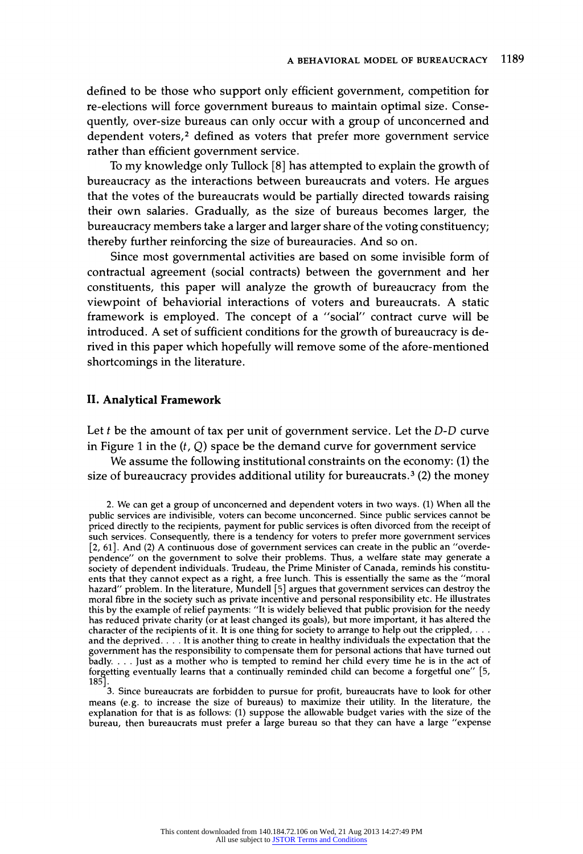**defined to be those who support only efficient government, competition for re-elections will force government bureaus to maintain optimal size. Consequently, over-size bureaus can only occur with a group of unconcerned and dependent voters,2 defined as voters that prefer more government service rather than efficient government service.** 

**To my knowledge only Tullock [8] has attempted to explain the growth of bureaucracy as the interactions between bureaucrats and voters. He argues that the votes of the bureaucrats would be partially directed towards raising their own salaries. Gradually, as the size of bureaus becomes larger, the bureaucracy members take a larger and larger share of the voting constituency; thereby further reinforcing the size of bureauracies. And so on.** 

**Since most governmental activities are based on some invisible form of contractual agreement (social contracts) between the government and her constituents, this paper will analyze the growth of bureaucracy from the viewpoint of behaviorial interactions of voters and bureaucrats. A static framework is employed. The concept of a "social" contract curve will be introduced. A set of sufficient conditions for the growth of bureaucracy is derived in this paper which hopefully will remove some of the afore-mentioned shortcomings in the literature.** 

## **II. Analytical Framework**

**Let t be the amount of tax per unit of government service. Let the D-D curve in Figure 1 in the (t, Q) space be the demand curve for government service** 

**We assume the following institutional constraints on the economy: (1) the size of bureaucracy provides additional utility for bureaucrats.3 (2) the money** 

**2. We can get a group of unconcerned and dependent voters in two ways. (1) When all the public services are indivisible, voters can become unconcerned. Since public services cannot be priced directly to the recipients, payment for public services is often divorced from the receipt of such services. Consequently, there is a tendency for voters to prefer more government services [2, 61]. And (2) A continuous dose of government services can create in the public an "overdependence" on the government to solve their problems. Thus, a welfare state may generate a society of dependent individuals. Trudeau, the Prime Minister of Canada, reminds his constituents that they cannot expect as a right, a free lunch. This is essentially the same as the "moral hazard" problem. In the literature, Mundell [5] argues that government services can destroy the moral fibre in the society such as private incentive and personal responsibility etc. He illustrates this by the example of relief payments: "It is widely believed that public provision for the needy has reduced private charity (or at least changed its goals), but more important, it has altered the character of the recipients of it. It is one thing for society to arrange to help out the crippled, ... and the deprived. . . . It is another thing to create in healthy individuals the expectation that the government has the responsibility to compensate them for personal actions that have turned out badly. . . Just as a mother who is tempted to remind her child every time he is in the act of forgetting eventually learns that a continually reminded child can become a forgetful one" [5,** 

**185]. 3. Since bureaucrats are forbidden to pursue for profit, bureaucrats have to look for other means (e.g. to increase the size of bureaus) to maximize their utility. In the literature, the explanation for that is as follows: (1) suppose the allowable budget varies with the size of the bureau, then bureaucrats must prefer a large bureau so that they can have a large "expense**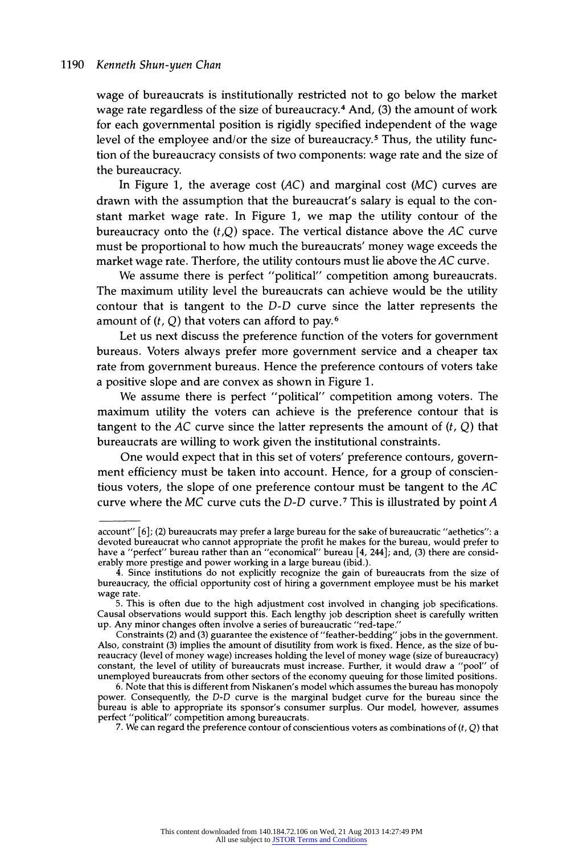**wage of bureaucrats is institutionally restricted not to go below the market wage rate regardless of the size of bureaucracy.4 And, (3) the amount of work for each governmental position is rigidly specified independent of the wage level of the employee and/or the size of bureaucracy.5 Thus, the utility function of the bureaucracy consists of two components: wage rate and the size of the bureaucracy.** 

**In Figure 1, the average cost (AC) and marginal cost (MC) curves are drawn with the assumption that the bureaucrat's salary is equal to the constant market wage rate. In Figure 1, we map the utility contour of the bureaucracy onto the (t,Q) space. The vertical distance above the AC curve must be proportional to how much the bureaucrats' money wage exceeds the market wage rate. Therfore, the utility contours must lie above the AC curve.** 

**We assume there is perfect "political" competition among bureaucrats. The maximum utility level the bureaucrats can achieve would be the utility contour that is tangent to the D-D curve since the latter represents the amount of (t, Q) that voters can afford to pay.6** 

**Let us next discuss the preference function of the voters for government bureaus. Voters always prefer more government service and a cheaper tax rate from government bureaus. Hence the preference contours of voters take a positive slope and are convex as shown in Figure 1.** 

**We assume there is perfect "political" competition among voters. The maximum utility the voters can achieve is the preference contour that is**  tangent to the  $AC$  curve since the latter represents the amount of  $(t, Q)$  that **bureaucrats are willing to work given the institutional constraints.** 

**One would expect that in this set of voters' preference contours, government efficiency must be taken into account. Hence, for a group of conscientious voters, the slope of one preference contour must be tangent to the AC curve where the MC curve cuts the D-D curve.7 This is illustrated by point A** 

**account" [6]; (2) bureaucrats may prefer a large bureau for the sake of bureaucratic "aethetics": a devoted bureaucrat who cannot appropriate the profit he makes for the bureau, would prefer to have a "perfect" bureau rather than an "economical" bureau [4, 244]; and, (3) there are considerably more prestige and power working in a large bureau (ibid.).** 

**<sup>4.</sup> Since institutions do not explicitly recognize the gain of bureaucrats from the size of bureaucracy, the official opportunity cost of hiring a government employee must be his market wage rate.** 

**<sup>5.</sup> This is often due to the high adjustment cost involved in changing job specifications. Causal observations would support this. Each lengthy job description sheet is carefully written up. Any minor changes often involve a series of bureaucratic "red-tape."** 

**Constraints (2) and (3) guarantee the existence of "feather-bedding" jobs in the government. Also, constraint (3) implies the amount of disutility from work is fixed. Hence, as the size of bureaucracy (level of money wage) increases holding the level of money wage (size of bureaucracy) constant, the level of utility of bureaucrats must increase. Further, it would draw a "pool" of unemployed bureaucrats from other sectors of the economy queuing for those limited positions.** 

**<sup>6.</sup> Note that this is different from Niskanen's model which assumes the bureau has monopoly power. Consequently, the D-D curve is the marginal budget curve for the bureau since the bureau is able to appropriate its sponsor's consumer surplus. Our model, however, assumes perfect "political" competition among bureaucrats. 7. We can regard the preference contour of conscientious voters as combinations of (t, Q) that**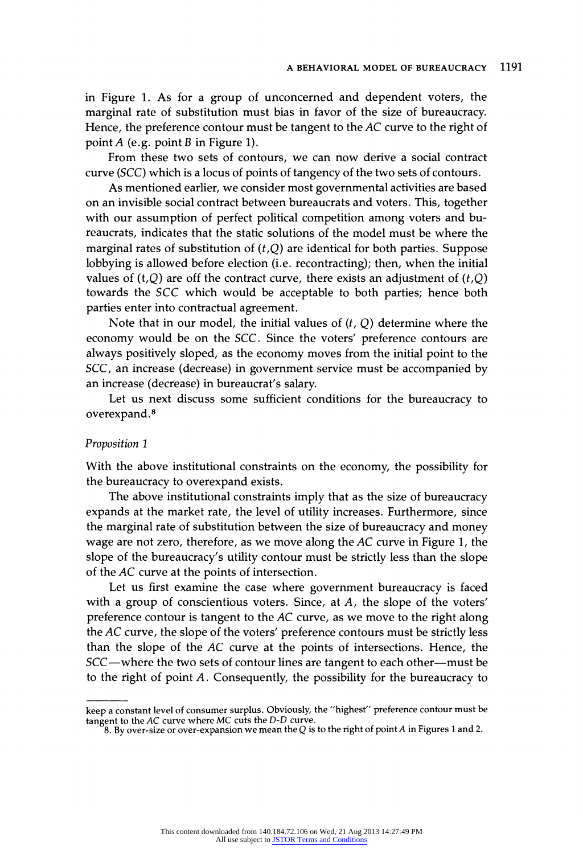**in Figure 1. As for a group of unconcerned and dependent voters, the marginal rate of substitution must bias in favor of the size of bureaucracy. Hence, the preference contour must be tangent to the AC curve to the right of point A (e.g. point B in Figure 1).** 

**From these two sets of contours, we can now derive a social contract curve (SCC) which is a locus of points of tangency of the two sets of contours.** 

**As mentioned earlier, we consider most governmental activities are based on an invisible social contract between bureaucrats and voters. This, together with our assumption of perfect political competition among voters and bureaucrats, indicates that the static solutions of the model must be where the marginal rates of substitution of (t,Q) are identical for both parties. Suppose lobbying is allowed before election (i.e. recontracting); then, when the initial**  values of  $(t, Q)$  are off the contract curve, there exists an adjustment of  $(t, Q)$ **towards the SCC which would be acceptable to both parties; hence both parties enter into contractual agreement.** 

**Note that in our model, the initial values of (t, Q) determine where the economy would be on the SCC. Since the voters' preference contours are always positively sloped, as the economy moves from the initial point to the SCC, an increase (decrease) in government service must be accompanied by an increase (decrease) in bureaucrat's salary.** 

**Let us next discuss some sufficient conditions for the bureaucracy to overexpand.8** 

#### **Proposition 1**

**With the above institutional constraints on the economy, the possibility for the bureaucracy to overexpand exists.** 

**The above institutional constraints imply that as the size of bureaucracy expands at the market rate, the level of utility increases. Furthermore, since the marginal rate of substitution between the size of bureaucracy and money wage are not zero, therefore, as we move along the AC curve in Figure 1, the slope of the bureaucracy's utility contour must be strictly less than the slope of the AC curve at the points of intersection.** 

**Let us first examine the case where government bureaucracy is faced with a group of conscientious voters. Since, at A, the slope of the voters' preference contour is tangent to the AC curve, as we move to the right along the AC curve, the slope of the voters' preference contours must be strictly less than the slope of the AC curve at the points of intersections. Hence, the**  SCC-where the two sets of contour lines are tangent to each other-must be **to the right of point A. Consequently, the possibility for the bureaucracy to** 

**keep a constant level of consumer surplus. Obviously, the "highest" preference contour must be tangent to the AC curve where MC cuts the D-D curve.** 

**<sup>8.</sup> By over-size or over-expansion we mean the Q is to the right of point A in Figures 1 and 2.**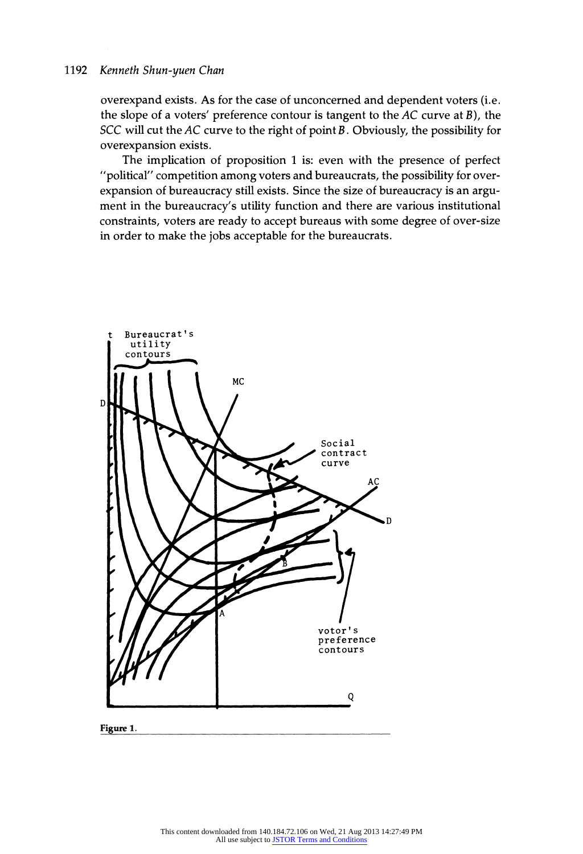**overexpand exists. As for the case of unconcerned and dependent voters (i.e. the slope of a voters' preference contour is tangent to the AC curve at B), the SCC will cut the AC curve to the right of point B. Obviously, the possibility for overexpansion exists.** 

**The implication of proposition 1 is: even with the presence of perfect "political" competition among voters and bureaucrats, the possibility for overexpansion of bureaucracy still exists. Since the size of bureaucracy is an argument in the bureaucracy's utility function and there are various institutional constraints, voters are ready to accept bureaus with some degree of over-size in order to make the jobs acceptable for the bureaucrats.** 

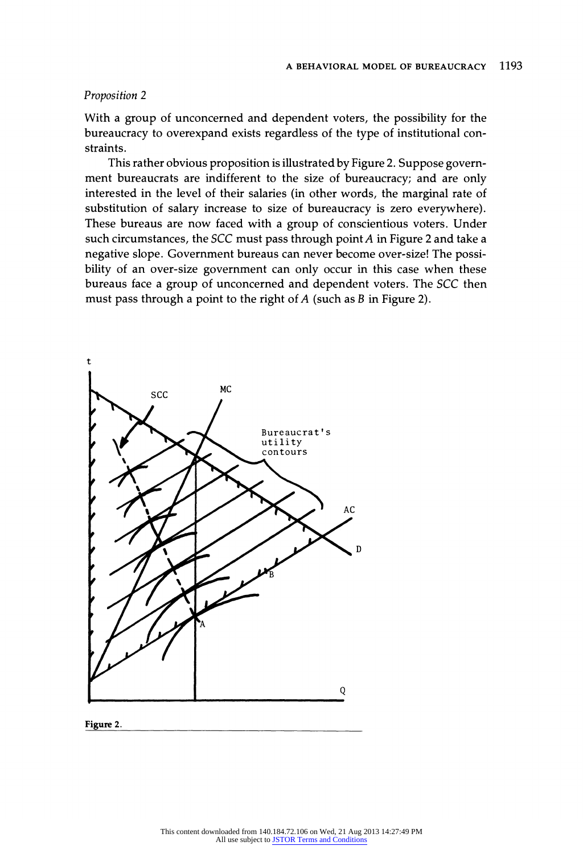### **Proposition 2**

**With a group of unconcerned and dependent voters, the possibility for the bureaucracy to overexpand exists regardless of the type of institutional constraints.** 

**This rather obvious proposition is illustrated by Figure 2. Suppose government bureaucrats are indifferent to the size of bureaucracy; and are only interested in the level of their salaries (in other words, the marginal rate of substitution of salary increase to size of bureaucracy is zero everywhere). These bureaus are now faced with a group of conscientious voters. Under such circumstances, the SCC must pass through point A in Figure 2 and take a negative slope. Government bureaus can never become over-size! The possibility of an over-size government can only occur in this case when these bureaus face a group of unconcerned and dependent voters. The SCC then must pass through a point to the right of A (such as B in Figure 2).**